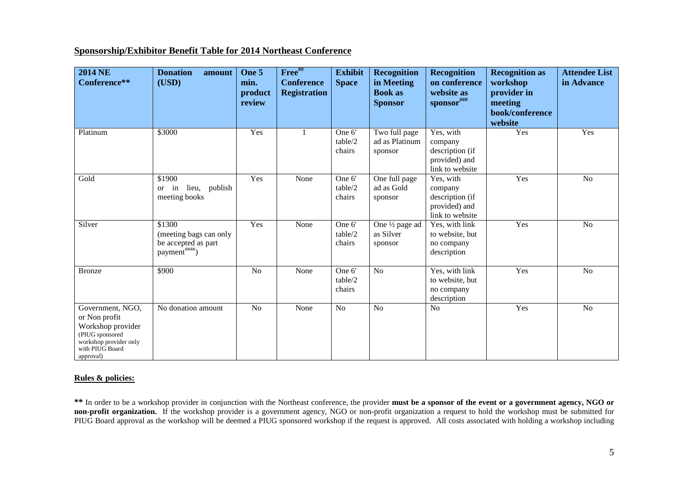## **Sponsorship/Exhibitor Benefit Table for 2014 Northeast Conference**

| <b>2014 NE</b><br>Conference**                                                                                                      | <b>Donation</b><br>amount<br>(USD)                                                    | One 5<br>min.<br>product<br>review | Free##<br><b>Conference</b><br><b>Registration</b> | <b>Exhibit</b><br><b>Space</b> | <b>Recognition</b><br>in Meeting<br><b>Book</b> as<br><b>Sponsor</b> | <b>Recognition</b><br>on conference<br>website as<br>sponsor###             | <b>Recognition as</b><br>workshop<br>provider in<br>meeting<br>book/conference<br>website | <b>Attendee List</b><br>in Advance |
|-------------------------------------------------------------------------------------------------------------------------------------|---------------------------------------------------------------------------------------|------------------------------------|----------------------------------------------------|--------------------------------|----------------------------------------------------------------------|-----------------------------------------------------------------------------|-------------------------------------------------------------------------------------------|------------------------------------|
| Platinum                                                                                                                            | \$3000                                                                                | Yes                                | 1                                                  | One 6'<br>table/2<br>chairs    | Two full page<br>ad as Platinum<br>sponsor                           | Yes, with<br>company<br>description (if<br>provided) and<br>link to website | Yes                                                                                       | Yes                                |
| Gold                                                                                                                                | \$1900<br>or in lieu, publish<br>meeting books                                        | Yes                                | None                                               | One 6'<br>table/2<br>chairs    | One full page<br>ad as Gold<br>sponsor                               | Yes, with<br>company<br>description (if<br>provided) and<br>link to website | Yes                                                                                       | No                                 |
| Silver                                                                                                                              | \$1300<br>(meeting bags can only<br>be accepted as part<br>payment <sup>#####</sup> ) | Yes                                | None                                               | One 6'<br>table/2<br>chairs    | One 1/2 page ad<br>as Silver<br>sponsor                              | Yes, with link<br>to website, but<br>no company<br>description              | Yes                                                                                       | N <sub>o</sub>                     |
| <b>Bronze</b>                                                                                                                       | \$900                                                                                 | N <sub>o</sub>                     | None                                               | One 6'<br>table/2<br>chairs    | N <sub>o</sub>                                                       | Yes, with link<br>to website, but<br>no company<br>description              | Yes                                                                                       | N <sub>o</sub>                     |
| Government, NGO,<br>or Non profit<br>Workshop provider<br>(PIUG sponsored<br>workshop provider only<br>with PIUG Board<br>approval) | No donation amount                                                                    | N <sub>o</sub>                     | None                                               | N <sub>o</sub>                 | N <sub>o</sub>                                                       | N <sub>o</sub>                                                              | Yes                                                                                       | N <sub>o</sub>                     |

## **Rules & policies:**

**\*\*** In order to be a workshop provider in conjunction with the Northeast conference, the provider **must be a sponsor of the event or a government agency, NGO or non-profit organization.** If the workshop provider is a government agency, NGO or non-profit organization a request to hold the workshop must be submitted for PIUG Board approval as the workshop will be deemed a PIUG sponsored workshop if the request is approved. All costs associated with holding a workshop including